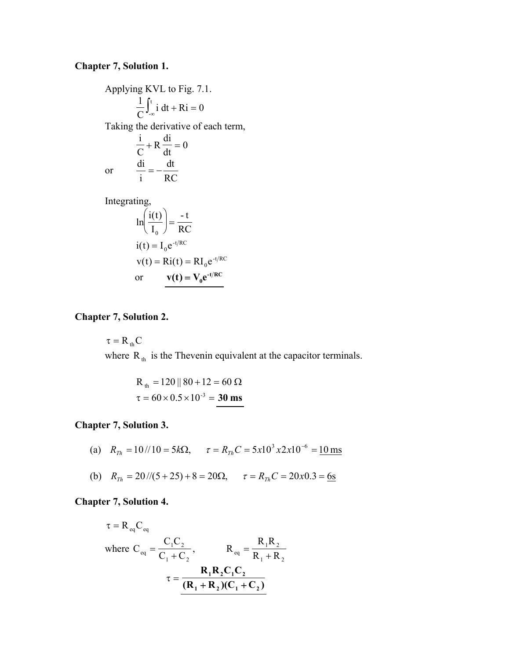#### **Chapter 7, Solution 1.**

Applying KVL to Fig. 7.1.  $\frac{1}{C} \int_{-\infty}^{\infty} i \, dt + Ri = 0$  $1 f<sup>t</sup>$  $\int_{-\infty}^{t} i \, dt + Ri =$ Taking the derivative of each term,  $\frac{d\mathbf{u}}{dt} = 0$ di R  $\mathcal{C}_{0}^{0}$ i  $+ R \frac{d}{dt} =$ or RC dt i  $\frac{di}{i} = -$ Integrating, RC - t I  $\ln\left(\frac{i(t)}{t}\right)$  =  $\boldsymbol{0}$ J  $\left(\underline{i(t)}\right)$  $\setminus$ ſ -t/ $RC$ 

$$
i(t) = I_0 e^{-t/RC}
$$
  
\n
$$
v(t) = Ri(t) = RI_0 e^{-t/RC}
$$
  
\nor 
$$
v(t) = V_0 e^{-t/RC}
$$

#### **Chapter 7, Solution 2.**

 $\tau = R_{th}C$ where  $R_{th}$  is the Thevenin equivalent at the capacitor terminals.

$$
R_{\text{th}} = 120 \parallel 80 + 12 = 60 \,\Omega
$$
  

$$
\tau = 60 \times 0.5 \times 10^{-3} = 30 \,\text{ms}
$$

#### **Chapter 7, Solution 3.**

- (a)  $R_{\tau h} = 10 / 10 = 5 k\Omega$ ,  $\tau = R_{\tau h} C = 5 x 10^3 x 2 x 10^{-6} = 10 \text{ ms}$
- (b)  $R_{Th} = 20 \frac{\pi}{5} + 8 = 20\Omega$ ,  $\tau = R_{Th}C = 20x0.3 = 6s$

### **Chapter 7, Solution 4.**

$$
\tau = R_{eq}C_{eq}
$$
  
where  $C_{eq} = \frac{C_1C_2}{C_1 + C_2}$ ,  $R_{eq} = \frac{R_1R_2}{R_1 + R_2}$   

$$
\tau = \frac{R_1R_2C_1C_2}{(R_1 + R_2)(C_1 + C_2)}
$$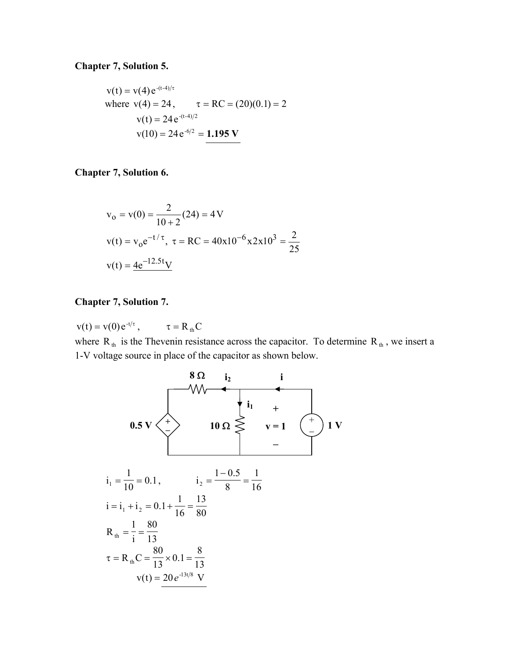#### **Chapter 7, Solution 5.**

$$
v(t) = v(4) e^{-(t-4)/\tau}
$$
  
where  $v(4) = 24$ ,  $\tau = RC = (20)(0.1) = 2$   
 $v(t) = 24 e^{-(t-4)/2}$   
 $v(10) = 24 e^{-6/2} = 1.195 \text{ V}$ 

**Chapter 7, Solution 6.** 

$$
v_0 = v(0) = \frac{2}{10 + 2}(24) = 4 \text{ V}
$$
  
\n
$$
v(t) = v_0 e^{-t/\tau}, \ \tau = \text{RC} = 40 \times 10^{-6} \times 2 \times 10^3 = \frac{2}{25}
$$
  
\n
$$
v(t) = 4e^{-12.5t}\text{V}
$$

#### **Chapter 7, Solution 7.**

 $v(t) = v(0) e^{-t/\tau}$ ,  $\tau = R_{th}C$ 

where  $R_{th}$  is the Thevenin resistance across the capacitor. To determine  $R_{th}$ , we insert a 1-V voltage source in place of the capacitor as shown below.

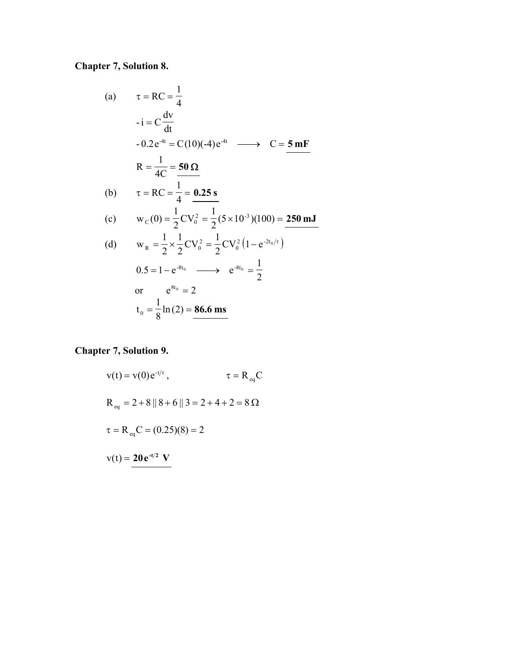# **Chapter 7, Solution 8.**

(a) 
$$
\tau = RC = \frac{1}{4}
$$
  
\n $-i = C \frac{dv}{dt}$   
\n $-0.2 e^{-4t} = C(10)(-4) e^{-4t} \longrightarrow C = 5 mF$   
\n $R = \frac{1}{4C} = 50 \Omega$   
\n(b)  $\tau = RC = \frac{1}{4} = 0.25 s$   
\n(c)  $w_C(0) = \frac{1}{2}CV_0^2 = \frac{1}{2}(5 \times 10^{-3})(100) = 250 mJ$   
\n(d)  $w_R = \frac{1}{2} \times \frac{1}{2}CV_0^2 = \frac{1}{2}CV_0^2(1 - e^{-2t_0/\tau})$   
\n $0.5 = 1 - e^{-8t_0} \longrightarrow e^{-8t_0} = \frac{1}{2}$   
\nor  $e^{8t_0} = 2$   
\n $t_0 = \frac{1}{8} ln(2) = \frac{86.6 ms}{}$ 

# **Chapter 7, Solution 9.**

$$
v(t) = v(0)e^{-t/\tau}, \qquad \tau = R_{eq}C
$$
  
\n
$$
R_{eq} = 2 + 8 || 8 + 6 || 3 = 2 + 4 + 2 = 8 \Omega
$$
  
\n
$$
\tau = R_{eq}C = (0.25)(8) = 2
$$
  
\n
$$
v(t) = 20e^{-t/2} V
$$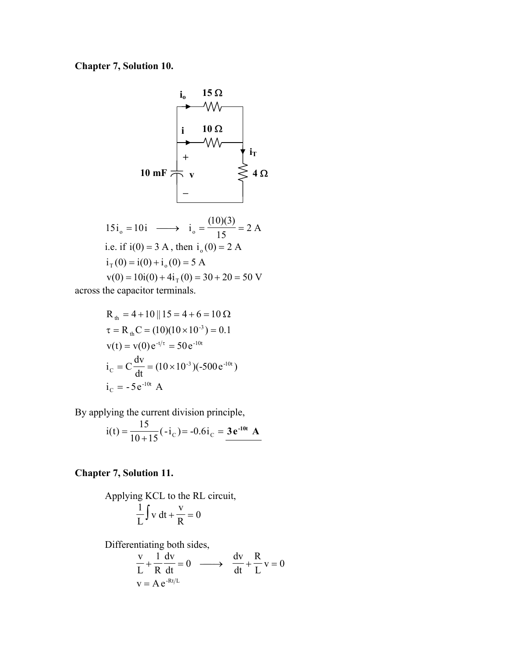# **Chapter 7, Solution 10.**



$$
15i_0 = 10i \longrightarrow i_0 = \frac{(10)(3)}{15} = 2 \text{ A}
$$
  
i.e. if  $i(0) = 3 \text{ A}$ , then  $i_0(0) = 2 \text{ A}$   
 $i_1(0) = i(0) + i_0(0) = 5 \text{ A}$   
 $v(0) = 10i(0) + 4i_1(0) = 30 + 20 = 50 \text{ V}$ 

across the capacitor terminals.

R<sub>th</sub> = 4 + 10 || 15 = 4 + 6 = 10 Ω  
\nτ = R<sub>th</sub>C = (10)(10 × 10<sup>-3</sup>) = 0.1  
\nv(t) = v(0) e<sup>-t/τ</sup> = 50 e<sup>-10t</sup>  
\ni<sub>C</sub> = C 
$$
\frac{dv}{dt}
$$
 = (10 × 10<sup>-3</sup>)(-500 e<sup>-10t</sup>)  
\ni<sub>C</sub> = -5 e<sup>-10t</sup> A

By applying the current division principle,

$$
i(t) = \frac{15}{10 + 15}(-i_C) = -0.6i_C = \underline{3 e^{-10t} A}
$$

### **Chapter 7, Solution 11.**

Applying KCL to the RL circuit, 0 R v v dt  $\frac{1}{L} \int v dt + \frac{v}{R} =$ 

Differentiating both sides,

$$
\frac{v}{L} + \frac{1}{R} \frac{dv}{dt} = 0 \longrightarrow \frac{dv}{dt} + \frac{R}{L} v = 0
$$
  
v = Ae<sup>-Rt/L</sup>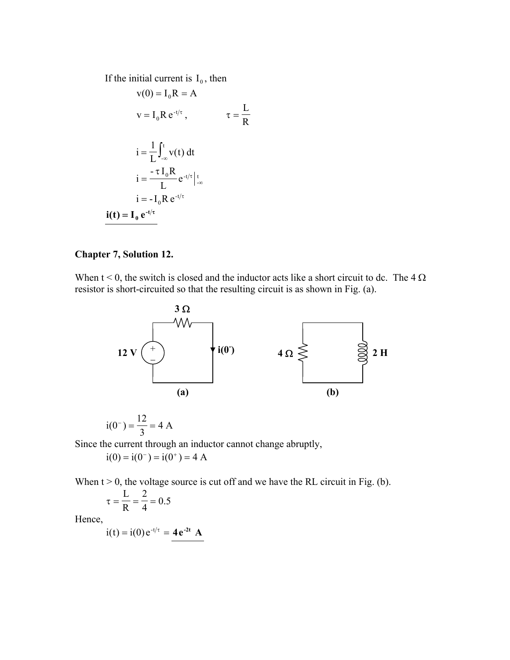If the initial current is  $I_0$ , then

$$
v(0) = I_0 R = A
$$
  
\n
$$
v = I_0 R e^{-t/\tau}, \qquad \tau = \frac{L}{R}
$$
  
\n
$$
i = \frac{1}{L} \int_{-\infty}^{t} v(t) dt
$$
  
\n
$$
i = \frac{-\tau I_0 R}{L} e^{-t/\tau} \Big|_{-\infty}^{t}
$$
  
\n
$$
i = -I_0 R e^{-t/\tau}
$$
  
\n
$$
i(t) = I_0 e^{-t/\tau}
$$

### **Chapter 7, Solution 12.**

When  $t < 0$ , the switch is closed and the inductor acts like a short circuit to dc. The 4  $\Omega$ resistor is short-circuited so that the resulting circuit is as shown in Fig. (a).



$$
i(0^-) = \frac{12}{3} = 4 A
$$

Since the current through an inductor cannot change abruptly,

 $i(0) = i(0^-) = i(0^+) = 4$  A

When  $t > 0$ , the voltage source is cut off and we have the RL circuit in Fig. (b).

$$
\tau = \frac{L}{R} = \frac{2}{4} = 0.5
$$

Hence,

 $i(t) = i(0) e^{-t/\tau} = 4e^{-2t} A$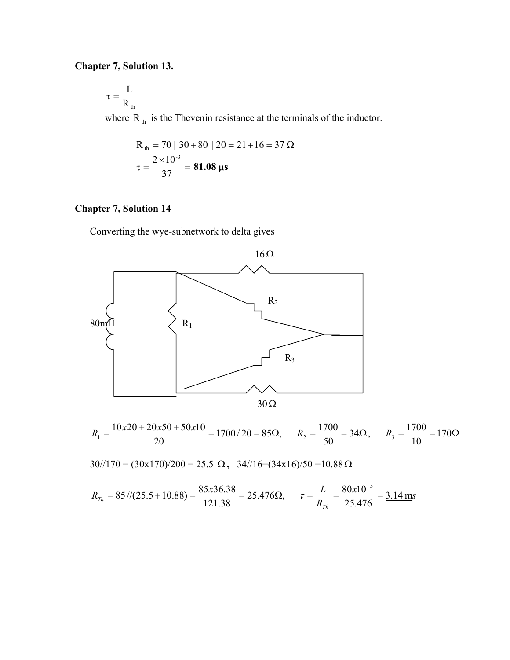## **Chapter 7, Solution 13.**

$$
\tau = \frac{L}{R_{\text{th}}}
$$

where  $R_{th}$  is the Thevenin resistance at the terminals of the inductor.

$$
R_{\text{th}} = 70 \parallel 30 + 80 \parallel 20 = 21 + 16 = 37 \,\Omega
$$

$$
\tau = \frac{2 \times 10^{-3}}{37} = 81.08 \,\mu s
$$

## **Chapter 7, Solution 14**

Converting the wye-subnetwork to delta gives



$$
R_1 = \frac{10x20 + 20x50 + 50x10}{20} = 1700/20 = 85\Omega, \qquad R_2 = \frac{1700}{50} = 34\Omega, \qquad R_3 = \frac{1700}{10} = 170\Omega
$$

30//170 = (30x170)/200 = 25.5 Ω **,** 34//16=(34x16)/50 =10.88Ω

$$
R_{Th} = 85 \, \text{/(25.5 + 10.88)} = \frac{85 \, \text{x} \cdot 36.38}{121.38} = 25.476 \Omega, \qquad \tau = \frac{L}{R_{Th}} = \frac{80 \, \text{x} \cdot 10^{-3}}{25.476} = \frac{3.14 \, \text{m}}{2}
$$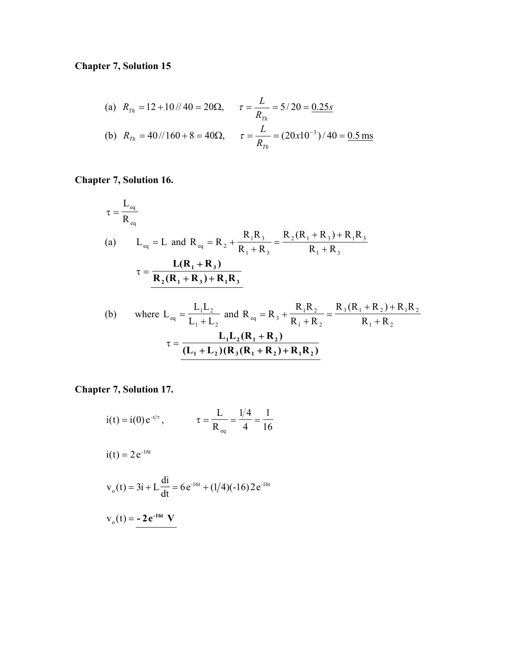# **Chapter 7, Solution 15**

(a) 
$$
R_{Th} = 12 + 10 // 40 = 20\Omega
$$
,  $\tau = \frac{L}{R_{Th}} = 5/20 = \frac{0.25s}{0.25s}$   
\n(b)  $R_{Th} = 40 // 160 + 8 = 40\Omega$ ,  $\tau = \frac{L}{R_{Th}} = (20x10^{-3})/40 = \frac{0.5 \text{ ms}}{0.5 \text{ ms}}$ 

# **Chapter 7, Solution 16.**

$$
\tau = \frac{L_{eq}}{R_{eq}}
$$
\n(a)  $L_{eq} = L$  and  $R_{eq} = R_2 + \frac{R_1 R_3}{R_1 + R_3} = \frac{R_2 (R_1 + R_3) + R_1 R_3}{R_1 + R_3}$ \n
$$
\tau = \frac{L(R_1 + R_3)}{R_2 (R_1 + R_3) + R_1 R_3}
$$

(b) where 
$$
L_{eq} = \frac{L_1 L_2}{L_1 + L_2}
$$
 and  $R_{eq} = R_3 + \frac{R_1 R_2}{R_1 + R_2} = \frac{R_3 (R_1 + R_2) + R_1 R_2}{R_1 + R_2}$   

$$
\tau = \frac{L_1 L_2 (R_1 + R_2)}{(L_1 + L_2) (R_3 (R_1 + R_2) + R_1 R_2)}
$$

**Chapter 7, Solution 17.**

$$
i(t) = i(0) e^{-t/\tau}
$$
,  $\tau = \frac{L}{R_{eq}} = \frac{1/4}{4} = \frac{1}{16}$ 

$$
i(t) = 2 e^{-16t}
$$

$$
v_o(t) = 3i + L\frac{di}{dt} = 6e^{-16t} + (1/4)(-16)2e^{-16t}
$$

$$
v_0(t) = -2e^{-16t} V
$$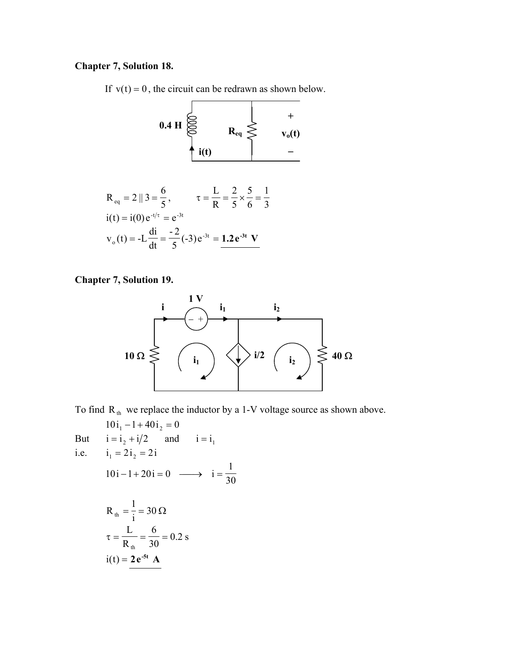#### **Chapter 7, Solution 18.**

If  $v(t) = 0$ , the circuit can be redrawn as shown below.

$$
0.4 \text{ H} \overset{\bigodot}{\underset{\text{i(t)}}{\bigotimes}} R_{eq} \overset{+}{\underset{\text{j(t)}}{\bigotimes}} \qquad \qquad +
$$

 $\mathbf{L}$ 

$$
R_{eq} = 2 || 3 = \frac{6}{5}, \qquad \tau = \frac{L}{R} = \frac{2}{5} \times \frac{5}{6} = \frac{1}{3}
$$
  
\n
$$
i(t) = i(0) e^{-t/\tau} = e^{-3t}
$$
  
\n
$$
v_0(t) = -L \frac{di}{dt} = \frac{-2}{5} (-3) e^{-3t} = \frac{1.2 e^{-3t} V}{}
$$

#### **Chapter 7, Solution 19.**



To find  $R_{th}$  we replace the inductor by a 1-V voltage source as shown above.

 $10i_1 - 1 + 40i_2 = 0$ But  $i = i_2 + i/2$  and  $i = i_1$ i.e.  $i_1 = 2i_2 = 2i$ 30 1  $10i - 1 + 20i = 0 \longrightarrow i =$  $=\frac{1}{i}$  = 30  $\Omega$ 1  $R_{th}$  $\frac{0}{30}$  = 0.2 s 6 R L th  $\tau = \frac{E}{R} = \frac{8}{30}$  $i(t) = 2e^{-5t}$  **A**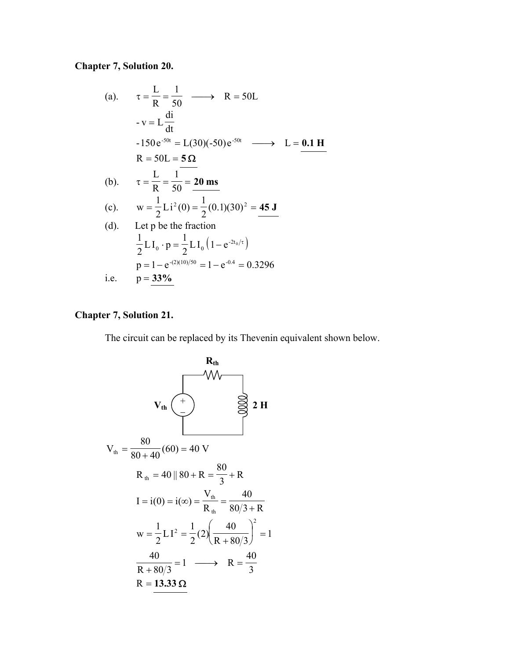# **Chapter 7, Solution 20.**

(a). 
$$
\tau = \frac{L}{R} = \frac{1}{50} \longrightarrow R = 50L
$$
  
\n $-v = L \frac{di}{dt}$   
\n $-150e^{-50t} = L(30)(-50)e^{-50t} \longrightarrow L = 0.1 H$   
\n $R = 50L = 5 \Omega$   
\n(b).  $\tau = \frac{L}{R} = \frac{1}{50} = 20 \text{ ms}$   
\n(c).  $w = \frac{1}{2}Li^2(0) = \frac{1}{2}(0.1)(30)^2 = 45 \text{ J}$   
\n(d). Let p be the fraction  
\n $\frac{1}{2}LI_0 \cdot p = \frac{1}{2}LI_0(1 - e^{-2t_0/\tau})$   
\n $p = 1 - e^{-(2)(10)/50} = 1 - e^{-0.4} = 0.3296$   
\ni.e.  $p = \frac{33\%}{}$ 

## **Chapter 7, Solution 21.**

The circuit can be replaced by its Thevenin equivalent shown below.

$$
V_{th} \left( \frac{R_{th}}{\epsilon} \right)
$$
\n
$$
V_{th} \left( \frac{R_{th}}{\epsilon} \right)
$$
\n
$$
V_{th} = \frac{80}{80 + 40} (60) = 40 \text{ V}
$$
\n
$$
R_{th} = 40 \parallel 80 + R = \frac{80}{3} + R
$$
\n
$$
I = i(0) = i(\infty) = \frac{V_{th}}{R_{th}} = \frac{40}{80/3 + R}
$$
\n
$$
w = \frac{1}{2} L I^{2} = \frac{1}{2} (2) \left( \frac{40}{R + 80/3} \right)^{2} = 1
$$
\n
$$
\frac{40}{R + 80/3} = 1 \longrightarrow R = \frac{40}{3}
$$
\n
$$
R = 13.33 \Omega
$$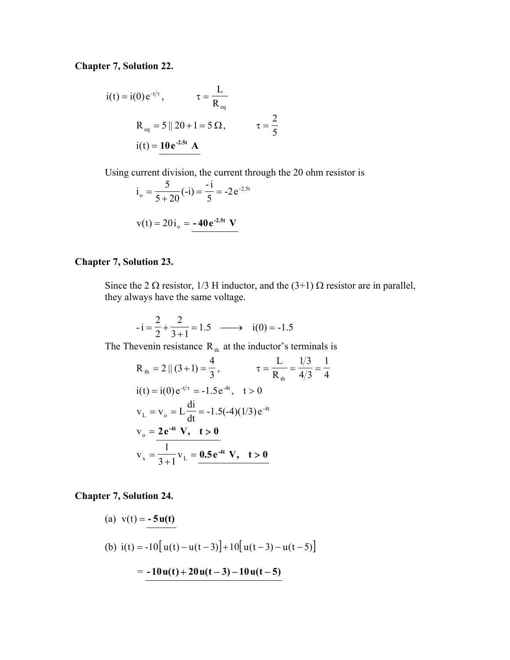**Chapter 7, Solution 22.**

$$
i(t) = i(0) e^{-t/\tau}, \qquad \tau = \frac{L}{R_{eq}}
$$
  
 
$$
R_{eq} = 5 || 20 + 1 = 5 \Omega, \qquad \tau = \frac{2}{5}
$$
  
 
$$
i(t) = \frac{10 e^{-2.5t} A}{}
$$

Using current division, the current through the 20 ohm resistor is

$$
io = \frac{5}{5 + 20} (-i) = \frac{-i}{5} = -2e^{-2.5t}
$$
  
v(t) = 20 i<sub>o</sub> = -40e<sup>-2.5t</sup> V

### **Chapter 7, Solution 23.**

Since the 2  $\Omega$  resistor, 1/3 H inductor, and the (3+1)  $\Omega$  resistor are in parallel, they always have the same voltage.

$$
-i = \frac{2}{2} + \frac{2}{3+1} = 1.5 \longrightarrow i(0) = -1.5
$$

The Thevenin resistance  $R_{th}$  at the inductor's terminals is

$$
R_{th} = 2 || (3 + 1) = \frac{4}{3}, \qquad \tau = \frac{L}{R_{th}} = \frac{1/3}{4/3} = \frac{1}{4}
$$
  
\n
$$
i(t) = i(0) e^{-t/\tau} = -1.5 e^{-4t}, \quad t > 0
$$
  
\n
$$
v_{L} = v_{o} = L \frac{di}{dt} = -1.5(-4)(1/3) e^{-4t}
$$
  
\n
$$
v_{o} = \frac{2 e^{-4t} V, \quad t > 0}{3 + 1} v_{L} = \frac{0.5 e^{-4t} V, \quad t > 0}{1}
$$

**Chapter 7, Solution 24.**

(a) 
$$
v(t) = -5u(t)
$$
  
\n(b)  $i(t) = -10[u(t) - u(t-3)] + 10[u(t-3) - u(t-5)]$   
\n $= -10u(t) + 20u(t-3) - 10u(t-5)$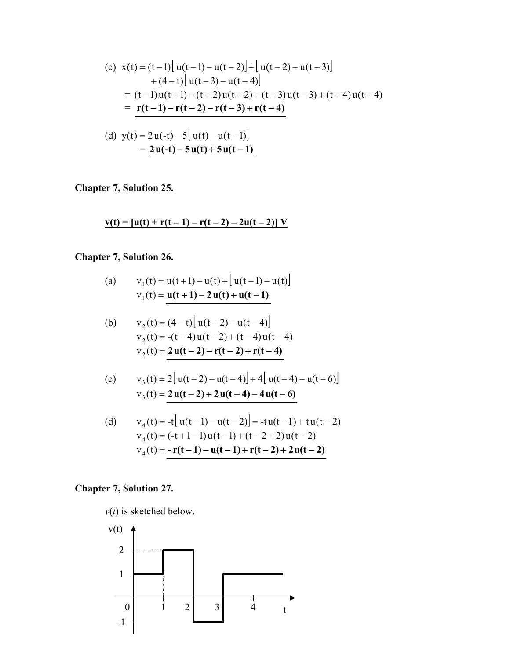(c) 
$$
x(t) = (t-1) \left[ u(t-1) - u(t-2) \right] + \left[ u(t-2) - u(t-3) \right] + (4-t) \left[ u(t-3) - u(t-4) \right]
$$

$$
= (t-1) u(t-1) - (t-2) u(t-2) - (t-3) u(t-3) + (t-4) u(t-4)
$$

$$
= \frac{r(t-1) - r(t-2) - r(t-3) + r(t-4)}{(d) y(t) = 2u(-t) - 5 \left[ u(t) - u(t-1) \right]}
$$

$$
= 2u(-t) - 5u(t) + 5u(t-1)
$$

**Chapter 7, Solution 25.** 

 $v(t) = [u(t) + r(t-1) - r(t-2) - 2u(t-2)]V$ 

## **Chapter 7, Solution 26.**

(a) 
$$
v_1(t) = u(t+1) - u(t) + [u(t-1) - u(t)]
$$
  
 $v_1(t) = u(t+1) - 2u(t) + u(t-1)$ 

(b) 
$$
v_2(t) = (4-t) [u(t-2) - u(t-4)]
$$
  
\n $v_2(t) = -(t-4)u(t-2) + (t-4)u(t-4)$   
\n $v_2(t) = 2u(t-2) - r(t-2) + r(t-4)$ 

(c) 
$$
v_3(t) = 2[u(t-2) - u(t-4)] + 4[u(t-4) - u(t-6)]
$$
  
 $v_3(t) = 2u(t-2) + 2u(t-4) - 4u(t-6)$ 

(d) 
$$
v_4(t) = -t[ u(t-1) - u(t-2) ] = -t u(t-1) + t u(t-2)
$$

$$
v_4(t) = (-t+1-1)u(t-1) + (t-2+2)u(t-2)
$$

$$
v_4(t) = -r(t-1) - u(t-1) + r(t-2) + 2u(t-2)
$$

## **Chapter 7, Solution 27.**

 $v(t)$  is sketched below.

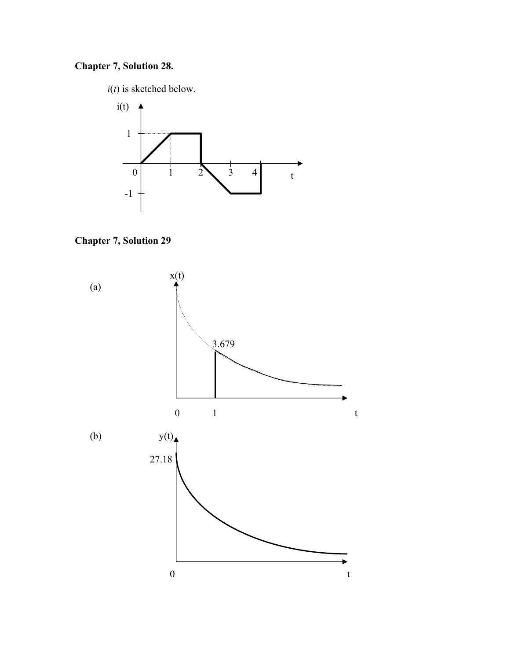# **Chapter 7, Solution 28.**

 $i(t)$  is sketched below.





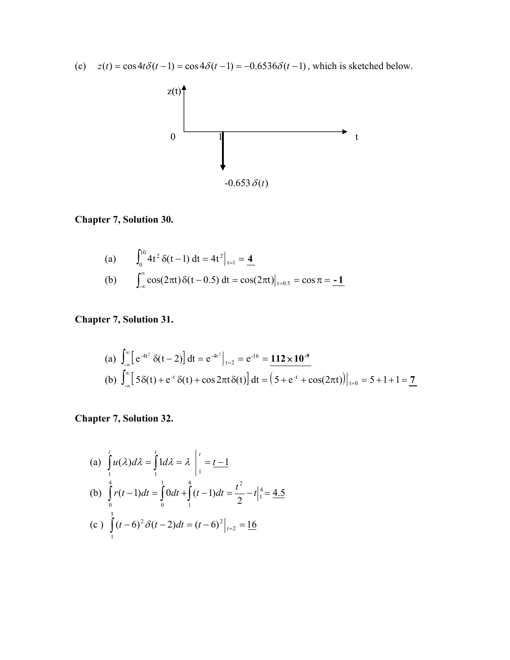(c)  $z(t) = \cos 4t \delta(t-1) = \cos 4\delta(t-1) = -0.6536\delta(t-1)$ , which is sketched below.



### **Chapter 7, Solution 30.**

(a) 
$$
\int_0^{10} 4t^2 \, \delta(t-1) \, dt = 4t^2 \Big|_{t=1} = 4
$$
  
(b) 
$$
\int_{-\infty}^{\infty} \cos(2\pi t) \, \delta(t-0.5) \, dt = \cos(2\pi t) \Big|_{t=0.5} = \cos \pi = -1
$$

**Chapter 7, Solution 31.**

(a) 
$$
\int_{-\infty}^{\infty} \left[ e^{-4t^2} \delta(t-2) \right] dt = e^{-4t^2} \Big|_{t=2} = e^{-16} = 112 \times 10^{-9}
$$
  
\n(b)  $\int_{-\infty}^{\infty} \left[ 5\delta(t) + e^{-t} \delta(t) + \cos 2\pi t \delta(t) \right] dt = \left( 5 + e^{-t} + \cos(2\pi t) \right) \Big|_{t=0} = 5 + 1 + 1 = 7$ 

**Chapter 7, Solution 32.** 

(a) 
$$
\int_{1}^{t} u(\lambda) d\lambda = \int_{1}^{t} 1 d\lambda = \lambda \Big|_{1}^{t} = \frac{t-1}{2}
$$
  
\n(b)  $\int_{0}^{4} r(t-1) dt = \int_{0}^{1} 0 dt + \int_{1}^{4} (t-1) dt = \frac{t^{2}}{2} - t \Big|_{1}^{4} = \frac{4.5}{2}$   
\n(c)  $\int_{1}^{5} (t-6)^{2} \delta(t-2) dt = (t-6)^{2} \Big|_{t=2} = \frac{16}{2}$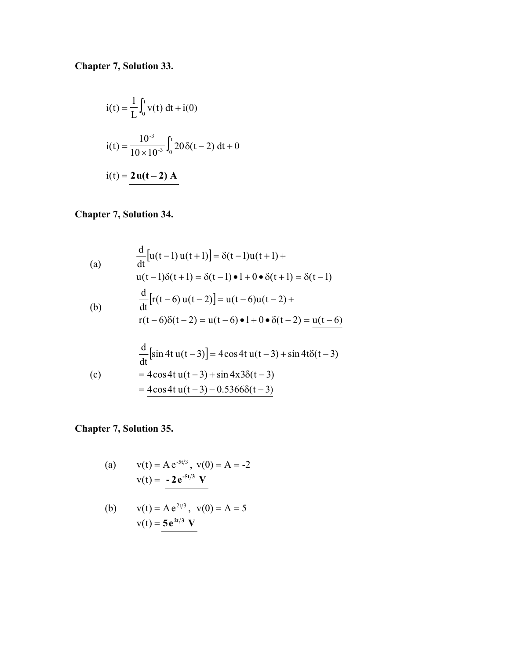**Chapter 7, Solution 33.**

$$
i(t) = \frac{1}{L} \int_0^t v(t) dt + i(0)
$$
  
\n
$$
i(t) = \frac{10^{-3}}{10 \times 10^{-3}} \int_0^t 20 \delta(t - 2) dt + 0
$$
  
\n
$$
i(t) = 2u(t - 2) A
$$

# **Chapter 7, Solution 34.**

(a)  
\n
$$
\frac{d}{dt} [u(t-1)u(t+1)] = \delta(t-1)u(t+1) +
$$
\n
$$
u(t-1)\delta(t+1) = \delta(t-1) \cdot 1 + 0 \cdot \delta(t+1) = \delta(t-1)
$$
\n(b)  
\n
$$
\frac{d}{dt} [r(t-6)u(t-2)] = u(t-6)u(t-2) +
$$
\n
$$
r(t-6)\delta(t-2) = u(t-6) \cdot 1 + 0 \cdot \delta(t-2) = \frac{u(t-6)}{2}
$$

$$
\frac{d}{dt}[\sin 4t u(t-3)] = 4\cos 4t u(t-3) + \sin 4t\delta(t-3)
$$
  
(c) = 4\cos 4t u(t-3) + \sin 4x3\delta(t-3)  
= 4\cos 4t u(t-3) - 0.5366\delta(t-3)

**Chapter 7, Solution 35.**

(a) 
$$
v(t) = Ae^{-5t/3}
$$
,  $v(0) = A = -2$   
 $v(t) = -2e^{-5t/3} V$ 

(b) 
$$
v(t) = Ae^{2t/3}
$$
,  $v(0) = A = 5$   
 $v(t) = 5e^{2t/3}$  V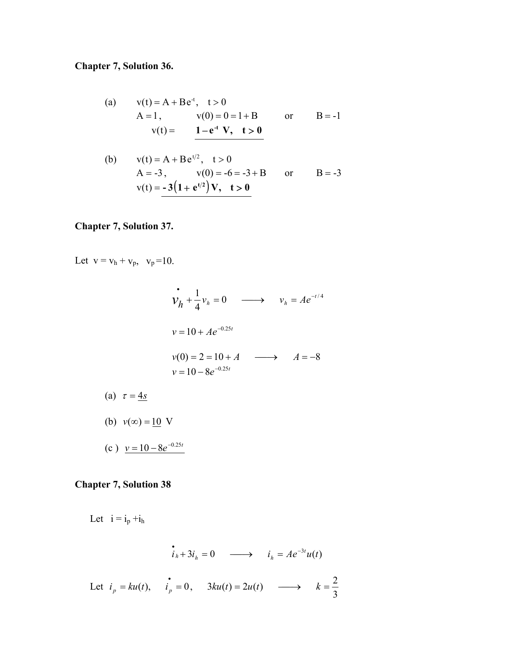# **Chapter 7, Solution 36.**

(a) 
$$
v(t) = A + Be^{-t}
$$
,  $t > 0$   
\n $A = 1$ ,  $v(0) = 0 = 1 + B$  or  $B = -1$   
\n $v(t) = 1 - e^{-t} V$ ,  $t > 0$ 

(b) 
$$
v(t) = A + Be^{t/2}
$$
,  $t > 0$   
\n $A = -3$ ,  $v(0) = -6 = -3 + B$  or  $B = -3$   
\n $v(t) = -3(1 + e^{t/2})V$ ,  $t > 0$ 

## **Chapter 7, Solution 37.**

Let  $v = v_h + v_p$ ,  $v_p = 10$ .

$$
\begin{aligned}\n\dot{v}_h + \frac{1}{4} v_h &= 0 \quad \longrightarrow \quad v_h = A e^{-t/4} \\
v &= 10 + A e^{-0.25t} \\
v(0) &= 2 = 10 + A \quad \longrightarrow \quad A = -8 \\
v &= 10 - 8 e^{-0.25t}\n\end{aligned}
$$

- (a)  $\tau = 4s$
- 

(b)  $v(\infty) = 10 \text{ V}$ 

 $(c)$   $v = 10 - 8e^{-0.25t}$ 

## **Chapter 7, Solution 38**

Let  $i = i_p + i_h$ 

$$
\dot{i}_h + 3i_h = 0 \longrightarrow i_h = Ae^{-3t}u(t)
$$

Let 
$$
i_p = ku(t)
$$
,  $\dot{i_p} = 0$ ,  $3ku(t) = 2u(t)$   $\longrightarrow$   $k = \frac{2}{3}$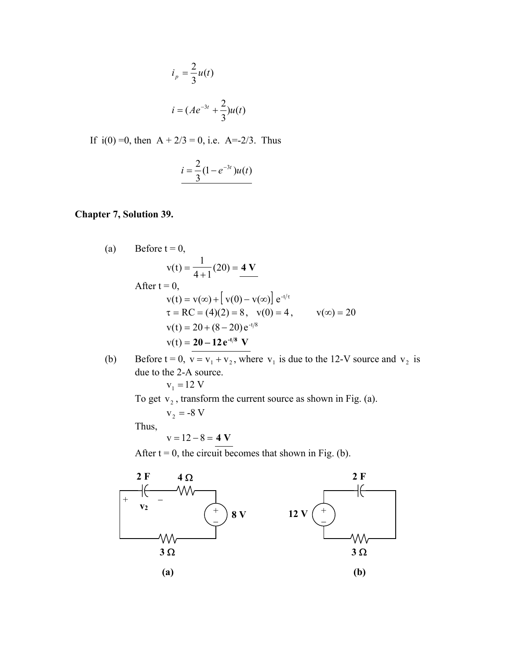$$
i_p = \frac{2}{3}u(t)
$$
  

$$
i = (Ae^{-3t} + \frac{2}{3})u(t)
$$

If  $i(0) = 0$ , then  $A + 2/3 = 0$ , i.e.  $A = -2/3$ . Thus

$$
i = \frac{2}{3}(1 - e^{-3t})u(t)
$$

#### **Chapter 7, Solution 39.**

(a) Before 
$$
t = 0
$$
,  
\n
$$
v(t) = \frac{1}{4+1}(20) = 4 V
$$
\nAfter  $t = 0$ ,  
\n
$$
v(t) = v(\infty) + [v(0) - v(\infty)] e^{-t/\tau}
$$
\n
$$
\tau = RC = (4)(2) = 8, \quad v(0) = 4, \quad v(\infty) = 20
$$
\n
$$
v(t) = 20 + (8-20) e^{-t/8}
$$
\n
$$
v(t) = \frac{20 - 12 e^{-t/8} V}{V}
$$

(b) Before  $t = 0$ ,  $v = v_1 + v_2$ , where  $v_1$  is due to the 12-V source and  $v_2$  is due to the 2-A source.  $v_1 = 12$  V

To get  $v_2$ , transform the current source as shown in Fig. (a).

 $v_2 = -8 V$ Thus,

$$
v=12-8=4 V
$$

After  $t = 0$ , the circuit becomes that shown in Fig. (b).

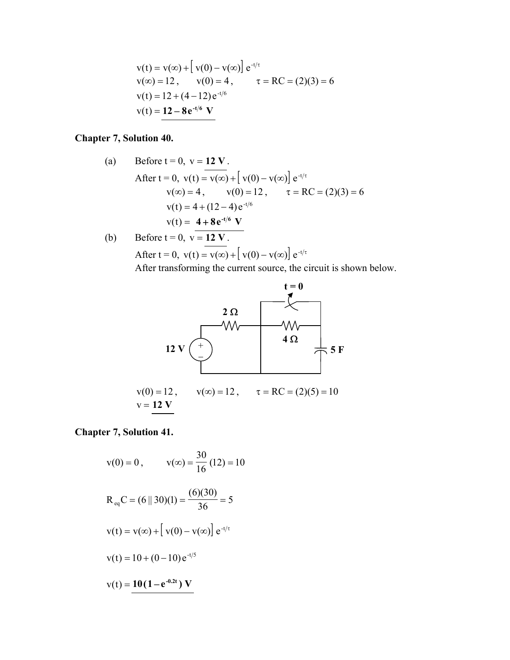$$
v(t) = v(\infty) + [v(0) - v(\infty)] e^{-t/\tau}
$$
  
\n
$$
v(\infty) = 12, \qquad v(0) = 4, \qquad \tau = RC = (2)(3) = 6
$$
  
\n
$$
v(t) = 12 + (4 - 12)e^{-t/6}
$$
  
\n
$$
v(t) = 12 - 8e^{-t/6}
$$
 V

### **Chapter 7, Solution 40.**

(a) Before 
$$
t = 0
$$
,  $v = 12$  V.  
\nAfter  $t = 0$ ,  $v(t) = v(\infty) + [v(0) - v(\infty)] e^{-t/\tau}$   
\n $v(\infty) = 4$ ,  $v(0) = 12$ ,  $\tau = RC = (2)(3) = 6$   
\n $v(t) = 4 + (12 - 4) e^{-t/6}$   
\n $v(t) = \frac{4 + 8e^{-t/6} V}{V}$   
\n(b) Before  $t = 0$ ,  $v = 12 V$ .

After 
$$
t = 0
$$
,  $v(t) = v(\infty) + [v(0) - v(\infty)] e^{-t/\tau}$ 

After transforming the current source, the circuit is shown below.



**Chapter 7, Solution 41.**

$$
v(0) = 0, \t v(\infty) = \frac{30}{16} (12) = 10
$$
  
R<sub>eq</sub>C = (6 || 30)(1) =  $\frac{(6)(30)}{36} = 5$   

$$
v(t) = v(\infty) + [v(0) - v(\infty)] e^{-t/\tau}
$$
  

$$
v(t) = 10 + (0 - 10) e^{-t/5}
$$
  

$$
v(t) = 10(1 - e^{-0.2t}) V
$$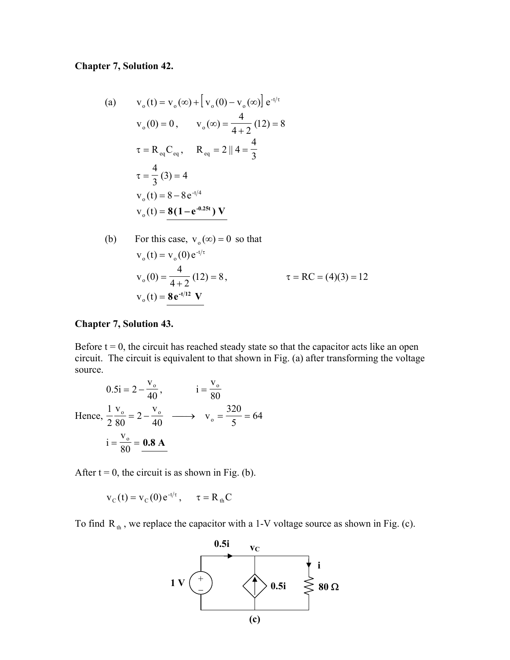### **Chapter 7, Solution 42.**

(a) 
$$
v_o(t) = v_o(\infty) + [v_o(0) - v_o(\infty)] e^{-t/\tau}
$$
  
\n $v_o(0) = 0, \qquad v_o(\infty) = \frac{4}{4+2} (12) = 8$   
\n $\tau = R_{eq}C_{eq}, \qquad R_{eq} = 2 || 4 = \frac{4}{3}$   
\n $\tau = \frac{4}{3} (3) = 4$   
\n $v_o(t) = 8 - 8e^{-t/4}$   
\n $v_o(t) = 8(1 - e^{-0.25t}) V$ 

(b) For this case, 
$$
v_0(\infty) = 0
$$
 so that  
\n
$$
v_0(t) = v_0(0) e^{-t/\tau}
$$
\n
$$
v_0(0) = \frac{4}{4+2} (12) = 8, \qquad \tau = RC = (4)(3) = 12
$$
\n
$$
v_0(t) = 8 e^{-t/12} V
$$

#### **Chapter 7, Solution 43.**

Before  $t = 0$ , the circuit has reached steady state so that the capacitor acts like an open circuit. The circuit is equivalent to that shown in Fig. (a) after transforming the voltage source.

$$
0.5i = 2 - \frac{v_o}{40}, \qquad i = \frac{v_o}{80}
$$
  
Hence,  $\frac{1}{2} \frac{v_o}{80} = 2 - \frac{v_o}{40} \longrightarrow v_o = \frac{320}{5} = 64$   
 $i = \frac{v_o}{80} = \frac{0.8 \text{ A}}{40}$ 

After  $t = 0$ , the circuit is as shown in Fig. (b).

$$
v_c(t) = v_c(0) e^{-t/\tau}, \quad \tau = R_{th}C
$$

To find R<sub>th</sub>, we replace the capacitor with a 1-V voltage source as shown in Fig. (c).

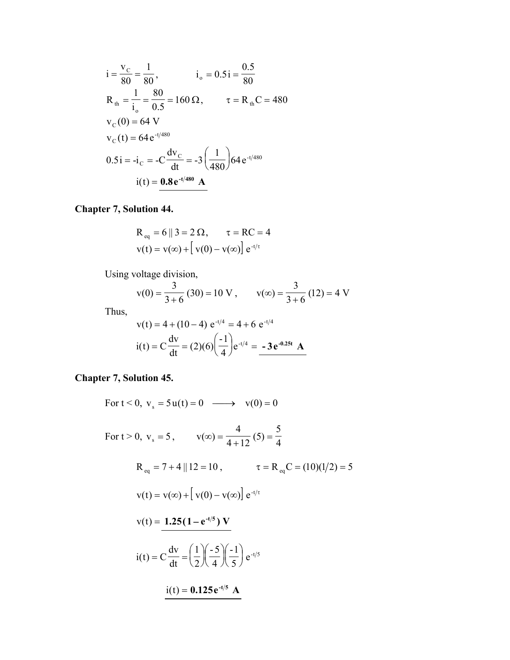$$
i = \frac{v_C}{80} = \frac{1}{80}, \qquad i_o = 0.5i = \frac{0.5}{80}
$$
  
\n
$$
R_{th} = \frac{1}{i_o} = \frac{80}{0.5} = 160 \Omega, \qquad \tau = R_{th}C = 480
$$
  
\n
$$
v_C(0) = 64 \text{ V}
$$
  
\n
$$
v_C(t) = 64 e^{-t/480}
$$
  
\n
$$
0.5i = -i_C = -C \frac{dv_C}{dt} = -3 \left(\frac{1}{480}\right) 64 e^{-t/480}
$$
  
\n
$$
i(t) = 0.8 e^{-t/480} \text{ A}
$$

**Chapter 7, Solution 44.**

$$
R_{eq} = 6 || 3 = 2 \Omega, \qquad \tau = RC = 4
$$
  

$$
v(t) = v(\infty) + [v(0) - v(\infty)] e^{-t/\tau}
$$

Using voltage division,

$$
v(0) = \frac{3}{3+6}(30) = 10 \text{ V}, \qquad v(\infty) = \frac{3}{3+6}(12) = 4 \text{ V}
$$

Thus,  
\n
$$
v(t) = 4 + (10 - 4) e^{-t/4} = 4 + 6 e^{-t/4}
$$
\n
$$
i(t) = C \frac{dv}{dt} = (2)(6) \left(\frac{-1}{4}\right) e^{-t/4} = -3 e^{-0.25t} A
$$

**Chapter 7, Solution 45.**

For 
$$
t < 0
$$
,  $v_s = 5u(t) = 0 \longrightarrow v(0) = 0$   
\nFor  $t > 0$ ,  $v_s = 5$ ,  $v(\infty) = \frac{4}{4+12}(5) = \frac{5}{4}$   
\n $R_{eq} = 7 + 4 || 12 = 10$ ,  $\tau = R_{eq}C = (10)(1/2) = 5$   
\n $v(t) = v(\infty) + [v(0) - v(\infty)] e^{-t/\tau}$   
\n $v(t) = \frac{1.25(1 - e^{-t/5}) V}{dt}$   
\n $i(t) = C \frac{dv}{dt} = (\frac{1}{2})(\frac{-5}{4})(\frac{-1}{5}) e^{-t/5}$   
\n $i(t) = 0.125 e^{-t/5} A$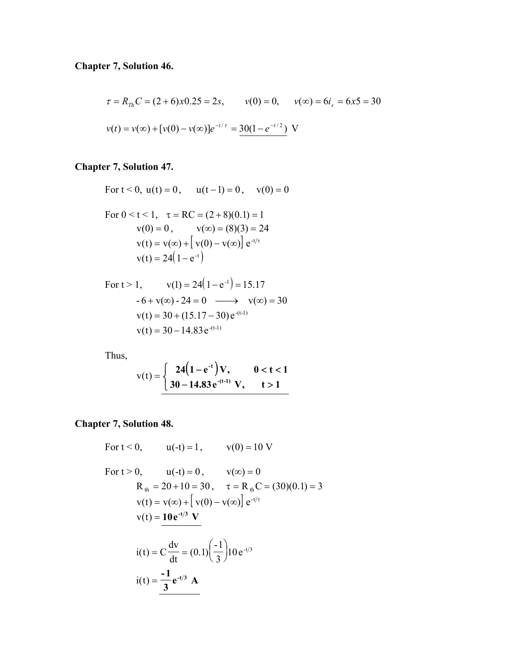$$
\tau = R_{Th}C = (2+6)x0.25 = 2s, \qquad v(0) = 0, \qquad v(\infty) = 6i_s = 6x5 = 30
$$
  

$$
v(t) = v(\infty) + [v(0) - v(\infty)]e^{-t/\tau} = \frac{30(1 - e^{-t/2})}{\tau} \text{ V}
$$

# **Chapter 7, Solution 47.**

For 
$$
t < 0
$$
,  $u(t) = 0$ ,  $u(t-1) = 0$ ,  $v(0) = 0$   
\nFor  $0 < t < 1$ ,  $\tau = RC = (2+8)(0.1) = 1$   
\n $v(0) = 0$ ,  $v(\infty) = (8)(3) = 24$   
\n $v(t) = v(\infty) + [v(0) - v(\infty)] e^{-t/\tau}$   
\n $v(t) = 24(1 - e^{-t})$ 

For 
$$
t > 1
$$
,  $v(1) = 24(1 - e^{-1}) = 15.17$   
\n $-6 + v(\infty) - 24 = 0 \longrightarrow v(\infty) = 30$   
\n $v(t) = 30 + (15.17 - 30) e^{-(t-1)}$   
\n $v(t) = 30 - 14.83 e^{-(t-1)}$ 

Thus,

$$
v(t) = \begin{cases} 24(1 - e^{-t})V, & 0 < t < 1 \\ 30 - 14.83 e^{-(t-1)} V, & t > 1 \end{cases}
$$

## **Chapter 7, Solution 48.**

For 
$$
t < 0
$$
,  $u(-t) = 1$ ,  $v(0) = 10$  V

For 
$$
t > 0
$$
,  $u(-t) = 0$ ,  $v(\infty) = 0$   
\n $R_{th} = 20 + 10 = 30$ ,  $\tau = R_{th}C = (30)(0.1) = 3$   
\n $v(t) = v(\infty) + [v(0) - v(\infty)] e^{-t/\tau}$   
\n $v(t) = \frac{10 e^{-t/3} V}{dt}$   
\n $i(t) = C \frac{dv}{dt} = (0.1) (\frac{-1}{3}) 10 e^{-t/3}$   
\n $i(t) = \frac{-1}{3} e^{-t/3} A$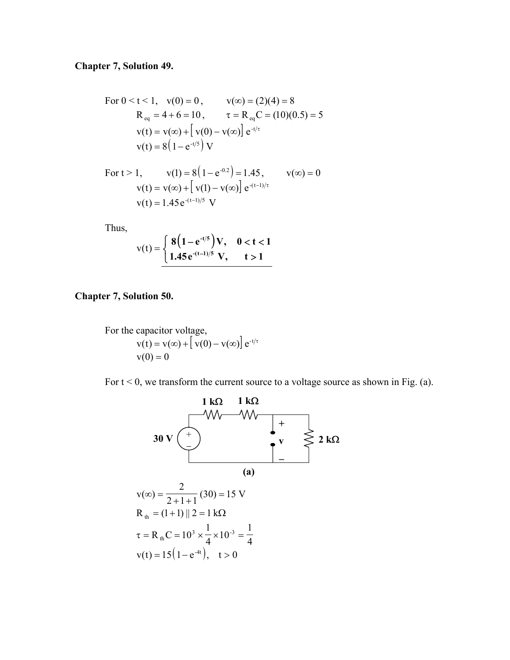### **Chapter 7, Solution 49.**

For 
$$
0 < t < 1
$$
,  $v(0) = 0$ ,  $v(\infty) = (2)(4) = 8$   
\n $R_{eq} = 4 + 6 = 10$ ,  $\tau = R_{eq}C = (10)(0.5) = 5$   
\n $v(t) = v(\infty) + [v(0) - v(\infty)] e^{-t/\tau}$   
\n $v(t) = 8(1 - e^{-t/5}) V$ 

For 
$$
t > 1
$$
,  $v(1) = 8(1 - e^{-0.2}) = 1.45$ ,  $v(\infty) = 0$   
\n $v(t) = v(\infty) + [v(1) - v(\infty)] e^{-(t-1)/\tau}$   
\n $v(t) = 1.45 e^{-(t-1)/5} V$ 

Thus,

$$
v(t) = \begin{cases} 8(1 - e^{-t/5})V, & 0 < t < 1 \\ 1.45 e^{-(t-1)/5} V, & t > 1 \end{cases}
$$

**Chapter 7, Solution 50.**

For the capacitor voltage,  $v(t) = v(\infty) + \left[v(0) - v(\infty)\right] e^{-t/\tau}$  $v(0) = 0$ 

For  $t < 0$ , we transform the current source to a voltage source as shown in Fig. (a).

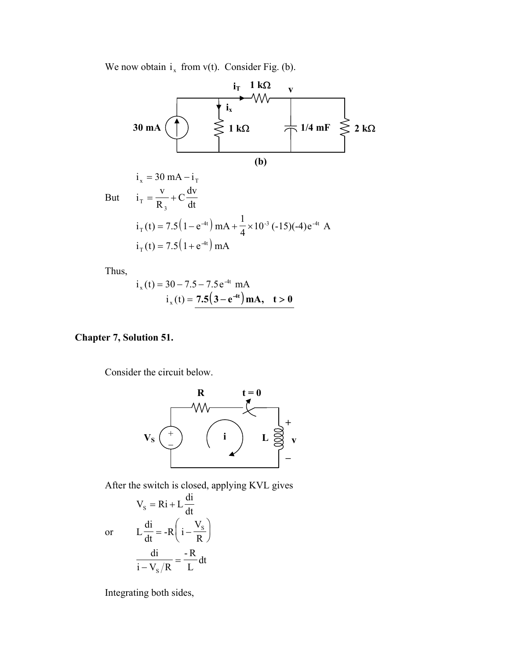We now obtain  $i_x$  from v(t). Consider Fig. (b).



Thus,

$$
i_x(t) = 30 - 7.5 - 7.5 e^{-4t} mA
$$
  

$$
i_x(t) = 7.5(3 - e^{-4t}) mA, \quad t > 0
$$

### **Chapter 7, Solution 51.**

Consider the circuit below.



After the switch is closed, applying KVL gives

$$
V_{s} = Ri + L \frac{di}{dt}
$$

$$
L \frac{di}{dt} = -R \left( i - \frac{V_{s}}{R} \right)
$$

$$
\frac{di}{i - V_{s}/R} = -\frac{R}{L} dt
$$

or

Integrating both sides,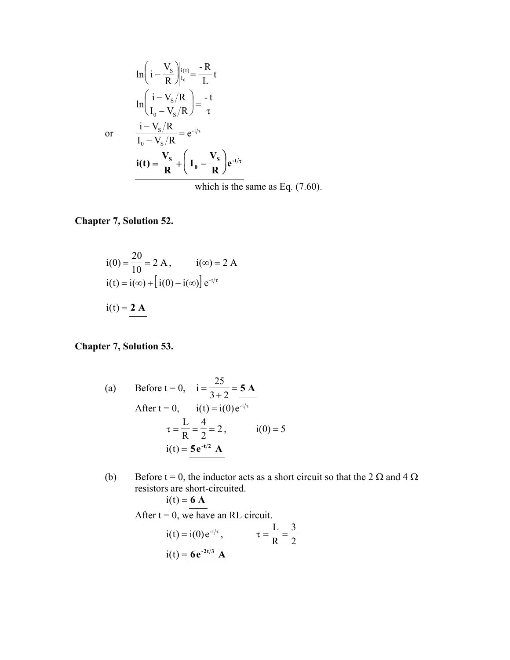$$
\ln\left(i - \frac{V_s}{R}\right)|_{t_0}^{i(t)} = \frac{-R}{L}t
$$
  
\n
$$
\ln\left(\frac{i - V_s/R}{I_0 - V_s/R}\right) = \frac{-t}{\tau}
$$
  
\nor  
\n
$$
\frac{i - V_s/R}{I_0 - V_s/R} = e^{-t/\tau}
$$
  
\n
$$
i(t) = \frac{V_s}{R} + \left(I_0 - \frac{V_s}{R}\right)e^{-t/\tau}
$$

which is the same as Eq. (7.60).

## **Chapter 7, Solution 52.**

$$
i(0) = \frac{20}{10} = 2 \text{ A}, \qquad i(\infty) = 2 \text{ A}
$$
  
\n
$$
i(t) = i(\infty) + [i(0) - i(\infty)] e^{-t/\tau}
$$
  
\n
$$
i(t) = \frac{2 \text{ A}}{\tau}
$$

#### **hapter 7, Solution 53. C**

(a) Before t = 0, i = 
$$
\frac{25}{3+2} = 5
$$
 A  
\nAfter t = 0, i(t) = i(0)e<sup>-t/\tau</sup>  
\n $\tau = \frac{L}{R} = \frac{4}{2} = 2$ , i(0) = 5  
\ni(t) = 5e<sup>-t/2</sup> A

(b) Before t = 0, the inductor acts as a short circuit so that the 2  $\Omega$  and 4  $\Omega$ resistors are short-circuited.

$$
i(t) = 6 A
$$

After  $t = 0$ , we have an RL circuit.

$$
i(t) = i(0)e^{-t/\tau}, \qquad \tau = \frac{L}{R} = \frac{3}{2}
$$

$$
i(t) = 6e^{-2t/3} A
$$